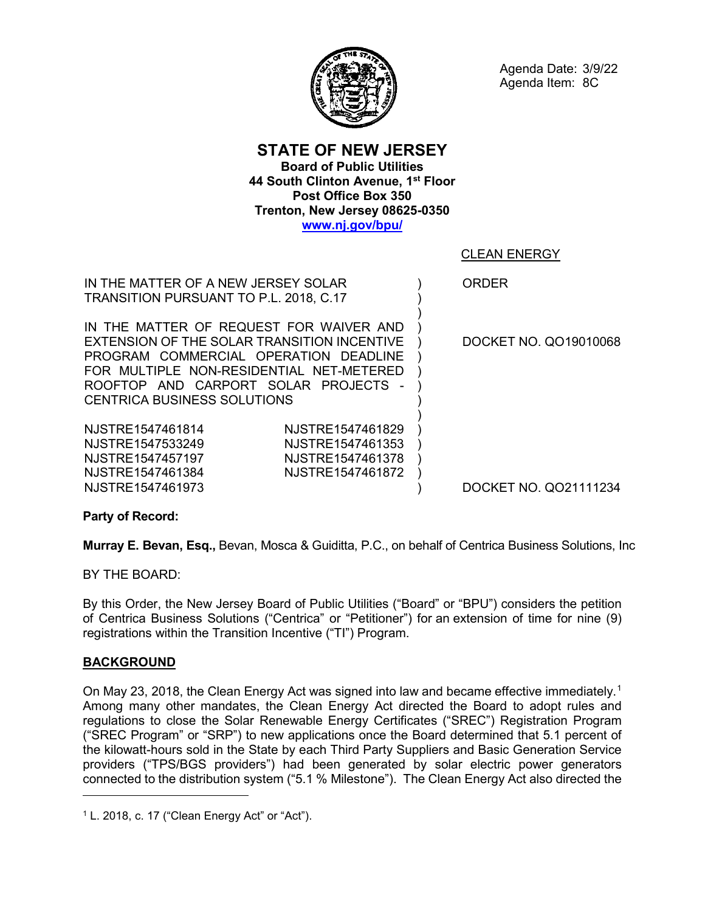

Agenda Date: 3/9/22 Agenda Item: 8C

**STATE OF NEW JERSEY Board of Public Utilities 44 South Clinton Avenue, 1st Floor Post Office Box 350 Trenton, New Jersey 08625-0350 [www.nj.gov/bpu/](http://www.nj.gov/bpu/)**

> ) ) ) ) ) ) ) ) )

# CLEAN ENERGY

ORDER

IN THE MATTER OF A NEW JERSEY SOLAR TRANSITION PURSUANT TO P.L. 2018, C.17

IN THE MATTER OF REQUEST FOR WAIVER AND EXTENSION OF THE SOLAR TRANSITION INCENTIVE PROGRAM COMMERCIAL OPERATION DEADLINE FOR MULTIPLE NON-RESIDENTIAL NET-METERED ROOFTOP AND CARPORT SOLAR PROJECTS - CENTRICA BUSINESS SOLUTIONS

NJSTRE1547461973

NJSTRE1547461814 NJSTRE1547461829 NJSTRE1547533249 NJSTRE1547461353 NJSTRE1547457197 NJSTRE1547461378 NJSTRE1547461384 NJSTRE1547461872 ) ) ) ) ) ) DOCKET NO. QO19010068

DOCKET NO. QO21111234

**Party of Record:**

**Murray E. Bevan, Esq.,** Bevan, Mosca & Guiditta, P.C., on behalf of Centrica Business Solutions, Inc

BY THE BOARD:

By this Order, the New Jersey Board of Public Utilities ("Board" or "BPU") considers the petition of Centrica Business Solutions ("Centrica" or "Petitioner") for an extension of time for nine (9) registrations within the Transition Incentive ("TI") Program.

## **BACKGROUND**

 $\overline{a}$ 

On May 23, 20[1](#page-0-0)8, the Clean Energy Act was signed into law and became effective immediately.<sup>1</sup> Among many other mandates, the Clean Energy Act directed the Board to adopt rules and regulations to close the Solar Renewable Energy Certificates ("SREC") Registration Program ("SREC Program" or "SRP") to new applications once the Board determined that 5.1 percent of the kilowatt-hours sold in the State by each Third Party Suppliers and Basic Generation Service providers ("TPS/BGS providers") had been generated by solar electric power generators connected to the distribution system ("5.1 % Milestone"). The Clean Energy Act also directed the

<span id="page-0-0"></span><sup>1</sup> L. 2018, c. 17 ("Clean Energy Act" or "Act").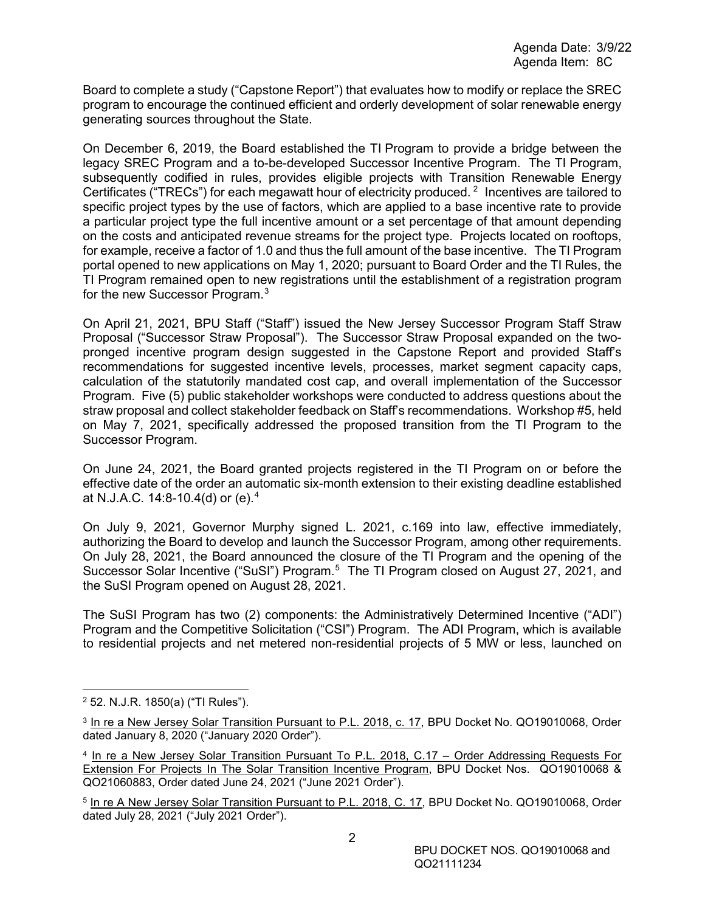Board to complete a study ("Capstone Report") that evaluates how to modify or replace the SREC program to encourage the continued efficient and orderly development of solar renewable energy generating sources throughout the State.

On December 6, 2019, the Board established the TI Program to provide a bridge between the legacy SREC Program and a to-be-developed Successor Incentive Program. The TI Program, subsequently codified in rules, provides eligible projects with Transition Renewable Energy Certificates ("TRECs") for each megawatt hour of electricity produced. <sup>[2](#page-1-0)</sup> Incentives are tailored to specific project types by the use of factors, which are applied to a base incentive rate to provide a particular project type the full incentive amount or a set percentage of that amount depending on the costs and anticipated revenue streams for the project type. Projects located on rooftops, for example, receive a factor of 1.0 and thus the full amount of the base incentive. The TI Program portal opened to new applications on May 1, 2020; pursuant to Board Order and the TI Rules, the TI Program remained open to new registrations until the establishment of a registration program for the new Successor Program. $^3$  $^3$ 

On April 21, 2021, BPU Staff ("Staff") issued the New Jersey Successor Program Staff Straw Proposal ("Successor Straw Proposal"). The Successor Straw Proposal expanded on the twopronged incentive program design suggested in the Capstone Report and provided Staff's recommendations for suggested incentive levels, processes, market segment capacity caps, calculation of the statutorily mandated cost cap, and overall implementation of the Successor Program. Five (5) public stakeholder workshops were conducted to address questions about the straw proposal and collect stakeholder feedback on Staff's recommendations. Workshop #5, held on May 7, 2021, specifically addressed the proposed transition from the TI Program to the Successor Program.

On June 24, 2021, the Board granted projects registered in the TI Program on or before the effective date of the order an automatic six-month extension to their existing deadline established at N.J.A.C. 14:8-10.4(d) or (e).[4](#page-1-2)

On July 9, 2021, Governor Murphy signed L. 2021, c.169 into law, effective immediately, authorizing the Board to develop and launch the Successor Program, among other requirements. On July 28, 2021, the Board announced the closure of the TI Program and the opening of the Successor Solar Incentive ("SuSI") Program.<sup>[5](#page-1-3)</sup> The TI Program closed on August 27, 2021, and the SuSI Program opened on August 28, 2021.

The SuSI Program has two (2) components: the Administratively Determined Incentive ("ADI") Program and the Competitive Solicitation ("CSI") Program. The ADI Program, which is available to residential projects and net metered non-residential projects of 5 MW or less, launched on

<span id="page-1-0"></span> <sup>2</sup> 52. N.J.R. 1850(a) ("TI Rules").

<span id="page-1-1"></span><sup>&</sup>lt;sup>3</sup> In re a New Jersey Solar Transition Pursuant to P.L. 2018, c. 17, BPU Docket No. QO19010068, Order dated January 8, 2020 ("January 2020 Order").

<span id="page-1-2"></span><sup>4</sup> In re a New Jersey Solar Transition Pursuant To P.L. 2018, C.17 – Order Addressing Requests For Extension For Projects In The Solar Transition Incentive Program, BPU Docket Nos. QO19010068 & QO21060883, Order dated June 24, 2021 ("June 2021 Order").

<span id="page-1-3"></span><sup>&</sup>lt;sup>5</sup> In re A New Jersey Solar Transition Pursuant to P.L. 2018, C. 17, BPU Docket No. QO19010068, Order dated July 28, 2021 ("July 2021 Order").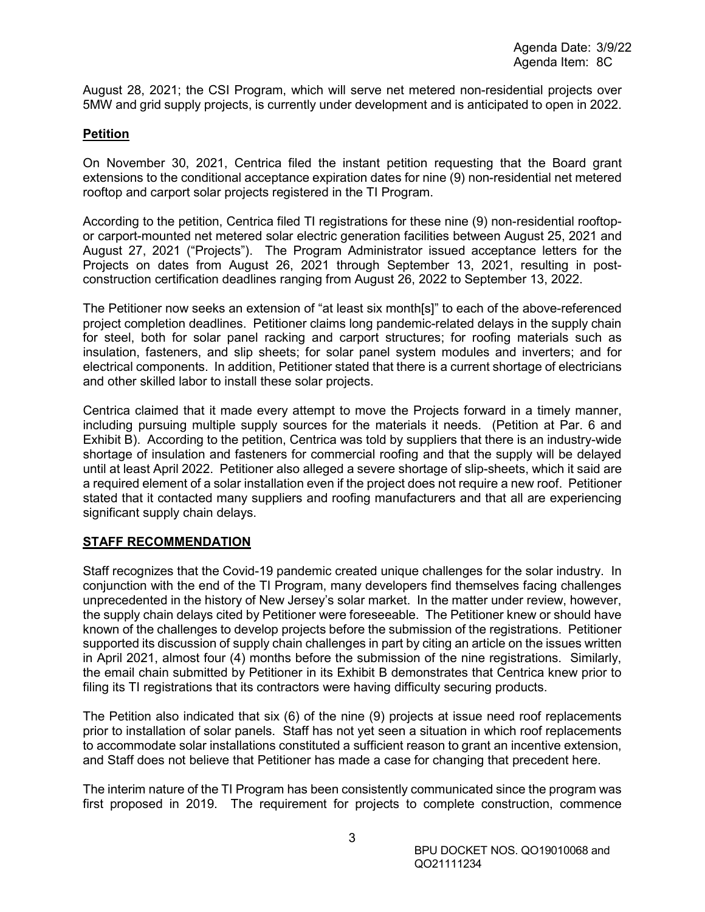August 28, 2021; the CSI Program, which will serve net metered non-residential projects over 5MW and grid supply projects, is currently under development and is anticipated to open in 2022.

## **Petition**

On November 30, 2021, Centrica filed the instant petition requesting that the Board grant extensions to the conditional acceptance expiration dates for nine (9) non-residential net metered rooftop and carport solar projects registered in the TI Program.

According to the petition, Centrica filed TI registrations for these nine (9) non-residential rooftopor carport-mounted net metered solar electric generation facilities between August 25, 2021 and August 27, 2021 ("Projects"). The Program Administrator issued acceptance letters for the Projects on dates from August 26, 2021 through September 13, 2021, resulting in postconstruction certification deadlines ranging from August 26, 2022 to September 13, 2022.

The Petitioner now seeks an extension of "at least six month[s]" to each of the above-referenced project completion deadlines. Petitioner claims long pandemic-related delays in the supply chain for steel, both for solar panel racking and carport structures; for roofing materials such as insulation, fasteners, and slip sheets; for solar panel system modules and inverters; and for electrical components. In addition, Petitioner stated that there is a current shortage of electricians and other skilled labor to install these solar projects.

Centrica claimed that it made every attempt to move the Projects forward in a timely manner, including pursuing multiple supply sources for the materials it needs. (Petition at Par. 6 and Exhibit B). According to the petition, Centrica was told by suppliers that there is an industry-wide shortage of insulation and fasteners for commercial roofing and that the supply will be delayed until at least April 2022. Petitioner also alleged a severe shortage of slip-sheets, which it said are a required element of a solar installation even if the project does not require a new roof. Petitioner stated that it contacted many suppliers and roofing manufacturers and that all are experiencing significant supply chain delays.

# **STAFF RECOMMENDATION**

Staff recognizes that the Covid-19 pandemic created unique challenges for the solar industry. In conjunction with the end of the TI Program, many developers find themselves facing challenges unprecedented in the history of New Jersey's solar market. In the matter under review, however, the supply chain delays cited by Petitioner were foreseeable. The Petitioner knew or should have known of the challenges to develop projects before the submission of the registrations. Petitioner supported its discussion of supply chain challenges in part by citing an article on the issues written in April 2021, almost four (4) months before the submission of the nine registrations. Similarly, the email chain submitted by Petitioner in its Exhibit B demonstrates that Centrica knew prior to filing its TI registrations that its contractors were having difficulty securing products.

The Petition also indicated that six (6) of the nine (9) projects at issue need roof replacements prior to installation of solar panels. Staff has not yet seen a situation in which roof replacements to accommodate solar installations constituted a sufficient reason to grant an incentive extension, and Staff does not believe that Petitioner has made a case for changing that precedent here.

The interim nature of the TI Program has been consistently communicated since the program was first proposed in 2019. The requirement for projects to complete construction, commence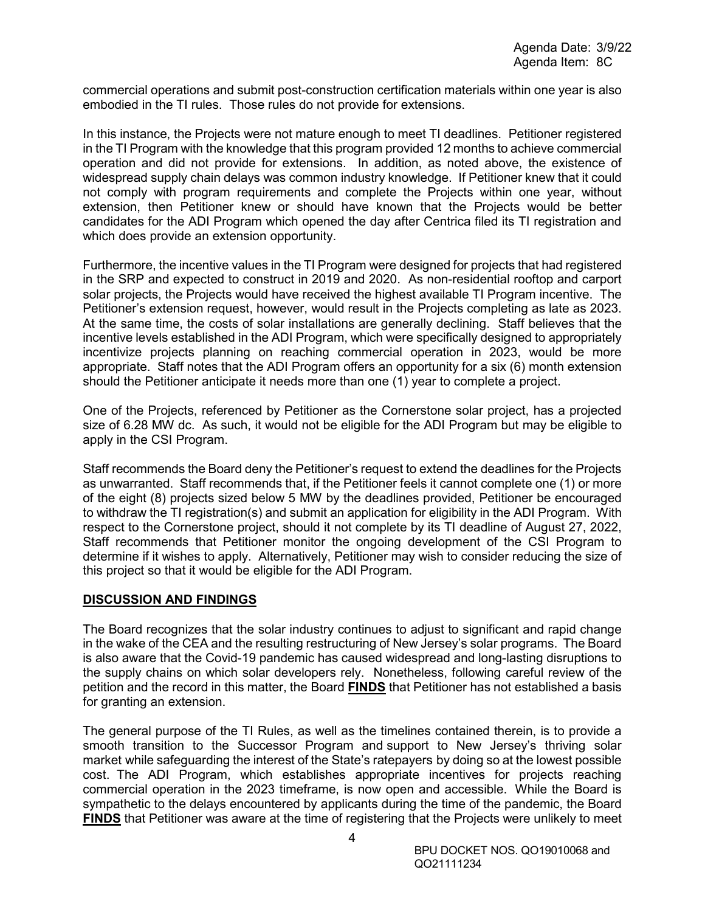commercial operations and submit post-construction certification materials within one year is also embodied in the TI rules. Those rules do not provide for extensions.

In this instance, the Projects were not mature enough to meet TI deadlines. Petitioner registered in the TI Program with the knowledge that this program provided 12 months to achieve commercial operation and did not provide for extensions. In addition, as noted above, the existence of widespread supply chain delays was common industry knowledge. If Petitioner knew that it could not comply with program requirements and complete the Projects within one year, without extension, then Petitioner knew or should have known that the Projects would be better candidates for the ADI Program which opened the day after Centrica filed its TI registration and which does provide an extension opportunity.

Furthermore, the incentive values in the TI Program were designed for projects that had registered in the SRP and expected to construct in 2019 and 2020. As non-residential rooftop and carport solar projects, the Projects would have received the highest available TI Program incentive. The Petitioner's extension request, however, would result in the Projects completing as late as 2023. At the same time, the costs of solar installations are generally declining. Staff believes that the incentive levels established in the ADI Program, which were specifically designed to appropriately incentivize projects planning on reaching commercial operation in 2023, would be more appropriate. Staff notes that the ADI Program offers an opportunity for a six (6) month extension should the Petitioner anticipate it needs more than one (1) year to complete a project.

One of the Projects, referenced by Petitioner as the Cornerstone solar project, has a projected size of 6.28 MW dc. As such, it would not be eligible for the ADI Program but may be eligible to apply in the CSI Program.

Staff recommends the Board deny the Petitioner's request to extend the deadlines for the Projects as unwarranted. Staff recommends that, if the Petitioner feels it cannot complete one (1) or more of the eight (8) projects sized below 5 MW by the deadlines provided, Petitioner be encouraged to withdraw the TI registration(s) and submit an application for eligibility in the ADI Program. With respect to the Cornerstone project, should it not complete by its TI deadline of August 27, 2022, Staff recommends that Petitioner monitor the ongoing development of the CSI Program to determine if it wishes to apply. Alternatively, Petitioner may wish to consider reducing the size of this project so that it would be eligible for the ADI Program.

#### **DISCUSSION AND FINDINGS**

The Board recognizes that the solar industry continues to adjust to significant and rapid change in the wake of the CEA and the resulting restructuring of New Jersey's solar programs. The Board is also aware that the Covid-19 pandemic has caused widespread and long-lasting disruptions to the supply chains on which solar developers rely. Nonetheless, following careful review of the petition and the record in this matter, the Board **FINDS** that Petitioner has not established a basis for granting an extension.

The general purpose of the TI Rules, as well as the timelines contained therein, is to provide a smooth transition to the Successor Program and support to New Jersey's thriving solar market while safeguarding the interest of the State's ratepayers by doing so at the lowest possible cost. The ADI Program, which establishes appropriate incentives for projects reaching commercial operation in the 2023 timeframe, is now open and accessible. While the Board is sympathetic to the delays encountered by applicants during the time of the pandemic, the Board **FINDS** that Petitioner was aware at the time of registering that the Projects were unlikely to meet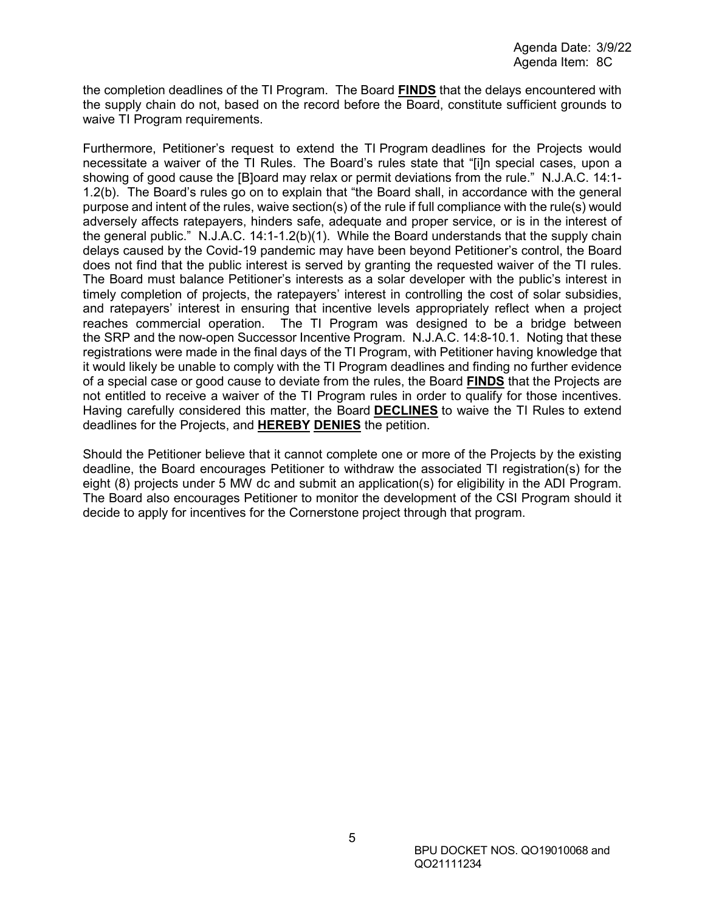the completion deadlines of the TI Program. The Board **FINDS** that the delays encountered with the supply chain do not, based on the record before the Board, constitute sufficient grounds to waive TI Program requirements.

Furthermore, Petitioner's request to extend the TI Program deadlines for the Projects would necessitate a waiver of the TI Rules. The Board's rules state that "[i]n special cases, upon a showing of good cause the [B]oard may relax or permit deviations from the rule." N.J.A.C. 14:1- 1.2(b). The Board's rules go on to explain that "the Board shall, in accordance with the general purpose and intent of the rules, waive section(s) of the rule if full compliance with the rule(s) would adversely affects ratepayers, hinders safe, adequate and proper service, or is in the interest of the general public." N.J.A.C. 14:1-1.2(b)(1). While the Board understands that the supply chain delays caused by the Covid-19 pandemic may have been beyond Petitioner's control, the Board does not find that the public interest is served by granting the requested waiver of the TI rules. The Board must balance Petitioner's interests as a solar developer with the public's interest in timely completion of projects, the ratepayers' interest in controlling the cost of solar subsidies, and ratepayers' interest in ensuring that incentive levels appropriately reflect when a project reaches commercial operation. The TI Program was designed to be a bridge between the SRP and the now-open Successor Incentive Program. N.J.A.C. 14:8-10.1. Noting that these registrations were made in the final days of the TI Program, with Petitioner having knowledge that it would likely be unable to comply with the TI Program deadlines and finding no further evidence of a special case or good cause to deviate from the rules, the Board **FINDS** that the Projects are not entitled to receive a waiver of the TI Program rules in order to qualify for those incentives. Having carefully considered this matter, the Board **DECLINES** to waive the TI Rules to extend deadlines for the Projects, and **HEREBY DENIES** the petition.

Should the Petitioner believe that it cannot complete one or more of the Projects by the existing deadline, the Board encourages Petitioner to withdraw the associated TI registration(s) for the eight (8) projects under 5 MW dc and submit an application(s) for eligibility in the ADI Program. The Board also encourages Petitioner to monitor the development of the CSI Program should it decide to apply for incentives for the Cornerstone project through that program.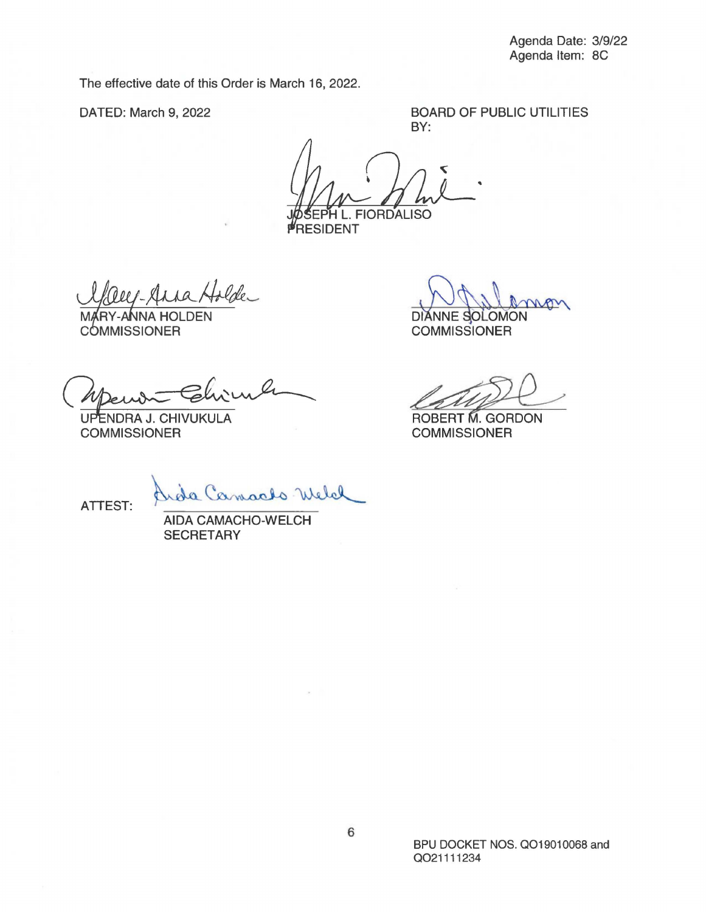The effective date of this Order is March 16, 2022.

DATED: March 9, 2022

BOARD OF PUBLIC UTILITIES BY:

**FIORDALISO** 

**RESIDENT** 

- Anna Holde

COMMISSIONER

**SECRETARY** 

UPENDRA J. CHIVUKULA **COMMISSIONER** 

DIANNE SOLOMON Defullamon **COMMISSIONER** 

DIANNE SOLOMON<br>COMMISSIONER<br>ROBERT M. GORDON<br>COMMISSIONER

ATTEST:

elal amaclo V

**AIDA** CAMACHO-WELCH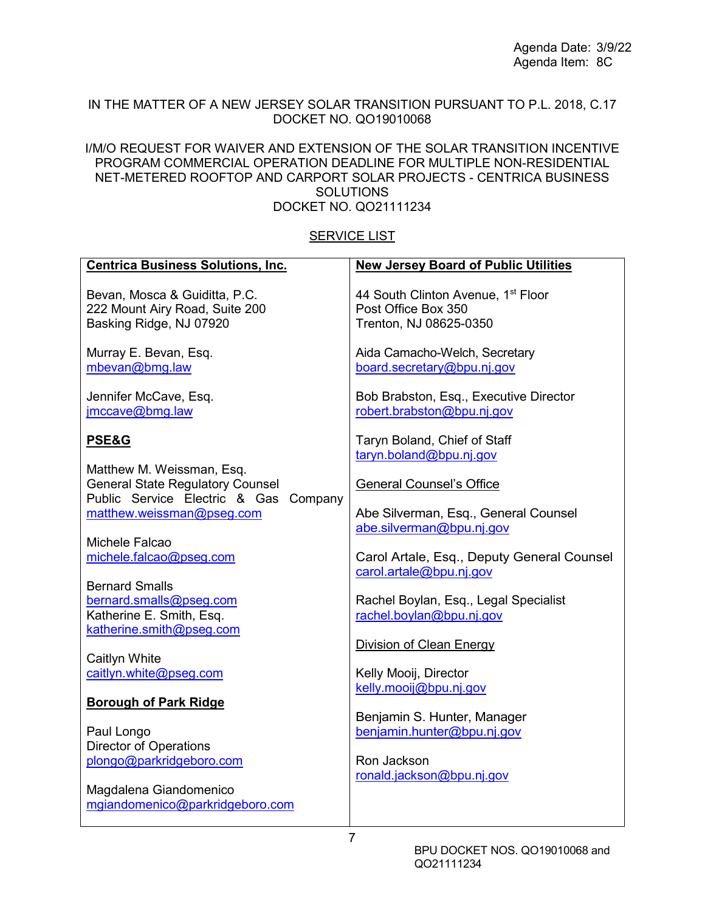### IN THE MATTER OF A NEW JERSEY SOLAR TRANSITION PURSUANT TO P.L. 2018, C.17 DOCKET NO. QO19010068

### I/M/O REQUEST FOR WAIVER AND EXTENSION OF THE SOLAR TRANSITION INCENTIVE PROGRAM COMMERCIAL OPERATION DEADLINE FOR MULTIPLE NON-RESIDENTIAL NET-METERED ROOFTOP AND CARPORT SOLAR PROJECTS - CENTRICA BUSINESS SOLUTIONS DOCKET NO. QO21111234

### SERVICE LIST

| <b>Centrica Business Solutions, Inc.</b>                  | <b>New Jersey Board of Public Utilities</b>    |
|-----------------------------------------------------------|------------------------------------------------|
| Bevan, Mosca & Guiditta, P.C.                             | 44 South Clinton Avenue, 1 <sup>st</sup> Floor |
| 222 Mount Airy Road, Suite 200                            | Post Office Box 350                            |
| Basking Ridge, NJ 07920                                   | Trenton, NJ 08625-0350                         |
|                                                           |                                                |
| Murray E. Bevan, Esq.                                     | Aida Camacho-Welch, Secretary                  |
| mbevan@bmg.law                                            | board.secretary@bpu.nj.gov                     |
|                                                           |                                                |
| Jennifer McCave, Esq.                                     | Bob Brabston, Esq., Executive Director         |
| jmccave@bmg.law                                           | robert.brabston@bpu.nj.gov                     |
| <b>PSE&amp;G</b>                                          | Taryn Boland, Chief of Staff                   |
|                                                           | taryn.boland@bpu.nj.gov                        |
| Matthew M. Weissman, Esq.                                 |                                                |
| <b>General State Regulatory Counsel</b>                   | <b>General Counsel's Office</b>                |
| Public Service Electric & Gas<br>Company                  |                                                |
| matthew.weissman@pseg.com                                 | Abe Silverman, Esq., General Counsel           |
|                                                           | abe.silverman@bpu.nj.gov                       |
| Michele Falcao                                            |                                                |
| michele.falcao@pseg.com                                   | Carol Artale, Esq., Deputy General Counsel     |
|                                                           | carol.artale@bpu.nj.gov                        |
| <b>Bernard Smalls</b>                                     |                                                |
| bernard.smalls@pseg.com<br>Katherine E. Smith, Esq.       | Rachel Boylan, Esq., Legal Specialist          |
| katherine.smith@pseg.com                                  | rachel.boylan@bpu.nj.gov                       |
|                                                           | <b>Division of Clean Energy</b>                |
| Caitlyn White                                             |                                                |
| caitlyn.white@pseg.com                                    | Kelly Mooij, Director                          |
|                                                           | kelly.mooij@bpu.nj.gov                         |
| <b>Borough of Park Ridge</b>                              |                                                |
|                                                           | Benjamin S. Hunter, Manager                    |
| Paul Longo                                                | benjamin.hunter@bpu.nj.gov                     |
| <b>Director of Operations</b>                             |                                                |
| plongo@parkridgeboro.com                                  | Ron Jackson                                    |
|                                                           | ronald.jackson@bpu.nj.gov                      |
| Magdalena Giandomenico<br>mgiandomenico@parkridgeboro.com |                                                |
|                                                           |                                                |
|                                                           |                                                |